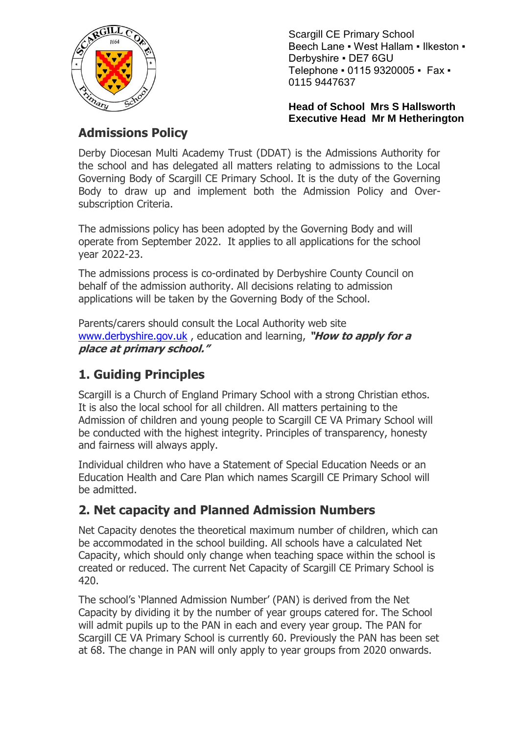

Scargill CE Primary School Beech Lane . West Hallam . Ilkeston . Derbyshire ▪ DE7 6GU Telephone ▪ 0115 9320005 ▪ Fax ▪ 0115 9447637

**Head of School Mrs S Hallsworth Executive Head Mr M Hetherington**

# **Admissions Policy**

Derby Diocesan Multi Academy Trust (DDAT) is the Admissions Authority for the school and has delegated all matters relating to admissions to the Local Governing Body of Scargill CE Primary School. It is the duty of the Governing Body to draw up and implement both the Admission Policy and Oversubscription Criteria.

The admissions policy has been adopted by the Governing Body and will operate from September 2022. It applies to all applications for the school year 2022-23.

The admissions process is co-ordinated by Derbyshire County Council on behalf of the admission authority. All decisions relating to admission applications will be taken by the Governing Body of the School.

Parents/carers should consult the Local Authority web site [www.derbyshire.gov.uk](http://www.derbyshire.gov.uk/) , education and learning, **"How to apply for a place at primary school."**

# **1. Guiding Principles**

Scargill is a Church of England Primary School with a strong Christian ethos. It is also the local school for all children. All matters pertaining to the Admission of children and young people to Scargill CE VA Primary School will be conducted with the highest integrity. Principles of transparency, honesty and fairness will always apply.

Individual children who have a Statement of Special Education Needs or an Education Health and Care Plan which names Scargill CE Primary School will be admitted.

# **2. Net capacity and Planned Admission Numbers**

Net Capacity denotes the theoretical maximum number of children, which can be accommodated in the school building. All schools have a calculated Net Capacity, which should only change when teaching space within the school is created or reduced. The current Net Capacity of Scargill CE Primary School is 420.

The school's 'Planned Admission Number' (PAN) is derived from the Net Capacity by dividing it by the number of year groups catered for. The School will admit pupils up to the PAN in each and every year group. The PAN for Scargill CE VA Primary School is currently 60. Previously the PAN has been set at 68. The change in PAN will only apply to year groups from 2020 onwards.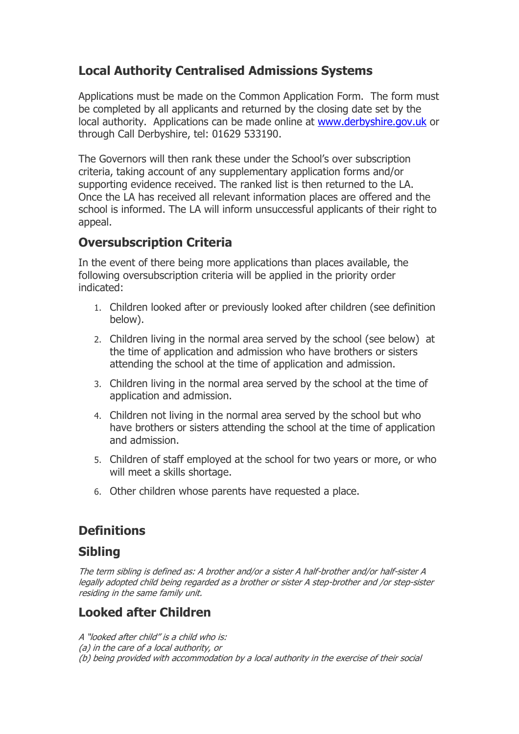### **Local Authority Centralised Admissions Systems**

Applications must be made on the Common Application Form. The form must be completed by all applicants and returned by the closing date set by the local authority. Applications can be made online at [www.derbyshire.gov.uk](http://www.derbyshire.gov.uk/) or through Call Derbyshire, tel: 01629 533190.

The Governors will then rank these under the School's over subscription criteria, taking account of any supplementary application forms and/or supporting evidence received. The ranked list is then returned to the LA. Once the LA has received all relevant information places are offered and the school is informed. The LA will inform unsuccessful applicants of their right to appeal.

#### **Oversubscription Criteria**

In the event of there being more applications than places available, the following oversubscription criteria will be applied in the priority order indicated:

- 1. Children looked after or previously looked after children (see definition below).
- 2. Children living in the normal area served by the school (see below) at the time of application and admission who have brothers or sisters attending the school at the time of application and admission.
- 3. Children living in the normal area served by the school at the time of application and admission.
- 4. Children not living in the normal area served by the school but who have brothers or sisters attending the school at the time of application and admission.
- 5. Children of staff employed at the school for two years or more, or who will meet a skills shortage.
- 6. Other children whose parents have requested a place.

### **Definitions**

#### **Sibling**

The term sibling is defined as: A brother and/or a sister A half-brother and/or half-sister A legally adopted child being regarded as a brother or sister A step-brother and /or step-sister residing in the same family unit.

# **Looked after Children**

A "looked after child" is a child who is: (a) in the care of a local authority, or (b) being provided with accommodation by a local authority in the exercise of their social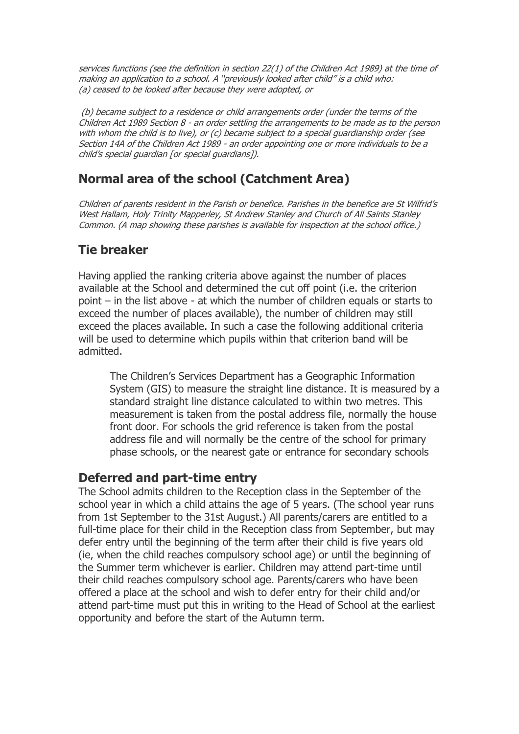services functions (see the definition in section 22(1) of the Children Act 1989) at the time of making an application to a school. A "previously looked after child" is a child who: (a) ceased to be looked after because they were adopted, or

(b) became subject to a residence or child arrangements order (under the terms of the Children Act 1989 Section 8 - an order settling the arrangements to be made as to the person with whom the child is to live), or (c) became subject to a special guardianship order (see Section 14A of the Children Act 1989 - an order appointing one or more individuals to be a child's special guardian [or special guardians]).

### **Normal area of the school (Catchment Area)**

Children of parents resident in the Parish or benefice. Parishes in the benefice are St Wilfrid's West Hallam, Holy Trinity Mapperley, St Andrew Stanley and Church of All Saints Stanley Common. (A map showing these parishes is available for inspection at the school office.)

### **Tie breaker**

Having applied the ranking criteria above against the number of places available at the School and determined the cut off point (i.e. the criterion point – in the list above - at which the number of children equals or starts to exceed the number of places available), the number of children may still exceed the places available. In such a case the following additional criteria will be used to determine which pupils within that criterion band will be admitted.

The Children's Services Department has a Geographic Information System (GIS) to measure the straight line distance. It is measured by a standard straight line distance calculated to within two metres. This measurement is taken from the postal address file, normally the house front door. For schools the grid reference is taken from the postal address file and will normally be the centre of the school for primary phase schools, or the nearest gate or entrance for secondary schools

#### **Deferred and part-time entry**

The School admits children to the Reception class in the September of the school year in which a child attains the age of 5 years. (The school year runs from 1st September to the 31st August.) All parents/carers are entitled to a full-time place for their child in the Reception class from September, but may defer entry until the beginning of the term after their child is five years old (ie, when the child reaches compulsory school age) or until the beginning of the Summer term whichever is earlier. Children may attend part-time until their child reaches compulsory school age. Parents/carers who have been offered a place at the school and wish to defer entry for their child and/or attend part-time must put this in writing to the Head of School at the earliest opportunity and before the start of the Autumn term.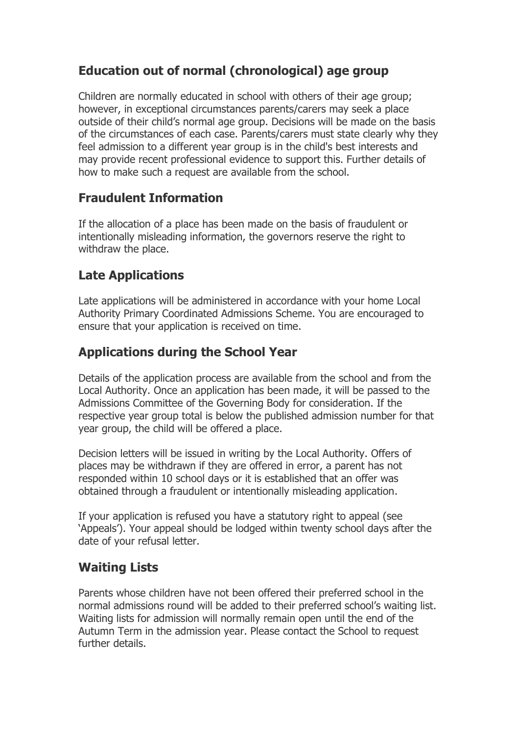# **Education out of normal (chronological) age group**

Children are normally educated in school with others of their age group; however, in exceptional circumstances parents/carers may seek a place outside of their child's normal age group. Decisions will be made on the basis of the circumstances of each case. Parents/carers must state clearly why they feel admission to a different year group is in the child's best interests and may provide recent professional evidence to support this. Further details of how to make such a request are available from the school.

### **Fraudulent Information**

If the allocation of a place has been made on the basis of fraudulent or intentionally misleading information, the governors reserve the right to withdraw the place.

# **Late Applications**

Late applications will be administered in accordance with your home Local Authority Primary Coordinated Admissions Scheme. You are encouraged to ensure that your application is received on time.

# **Applications during the School Year**

Details of the application process are available from the school and from the Local Authority. Once an application has been made, it will be passed to the Admissions Committee of the Governing Body for consideration. If the respective year group total is below the published admission number for that year group, the child will be offered a place.

Decision letters will be issued in writing by the Local Authority. Offers of places may be withdrawn if they are offered in error, a parent has not responded within 10 school days or it is established that an offer was obtained through a fraudulent or intentionally misleading application.

If your application is refused you have a statutory right to appeal (see 'Appeals'). Your appeal should be lodged within twenty school days after the date of your refusal letter.

### **Waiting Lists**

Parents whose children have not been offered their preferred school in the normal admissions round will be added to their preferred school's waiting list. Waiting lists for admission will normally remain open until the end of the Autumn Term in the admission year. Please contact the School to request further details.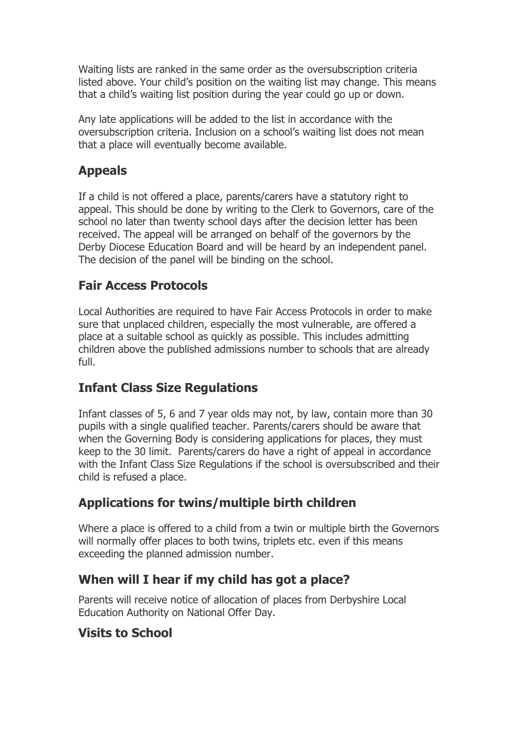Waiting lists are ranked in the same order as the oversubscription criteria listed above. Your child's position on the waiting list may change. This means that a child's waiting list position during the year could go up or down.

Any late applications will be added to the list in accordance with the oversubscription criteria. Inclusion on a school's waiting list does not mean that a place will eventually become available.

### **Appeals**

If a child is not offered a place, parents/carers have a statutory right to appeal. This should be done by writing to the Clerk to Governors, care of the school no later than twenty school days after the decision letter has been received. The appeal will be arranged on behalf of the governors by the Derby Diocese Education Board and will be heard by an independent panel. The decision of the panel will be binding on the school.

# **Fair Access Protocols**

Local Authorities are required to have Fair Access Protocols in order to make sure that unplaced children, especially the most vulnerable, are offered a place at a suitable school as quickly as possible. This includes admitting children above the published admissions number to schools that are already full.

# **Infant Class Size Regulations**

Infant classes of 5, 6 and 7 year olds may not, by law, contain more than 30 pupils with a single qualified teacher. Parents/carers should be aware that when the Governing Body is considering applications for places, they must keep to the 30 limit. Parents/carers do have a right of appeal in accordance with the Infant Class Size Regulations if the school is oversubscribed and their child is refused a place.

# **Applications for twins/multiple birth children**

Where a place is offered to a child from a twin or multiple birth the Governors will normally offer places to both twins, triplets etc. even if this means exceeding the planned admission number.

### **When will I hear if my child has got a place?**

Parents will receive notice of allocation of places from Derbyshire Local Education Authority on National Offer Day.

### **Visits to School**